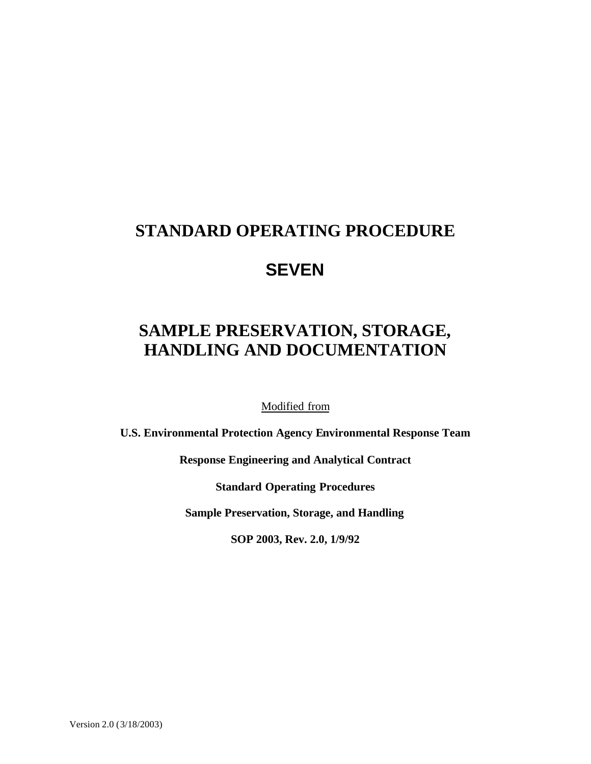## **STANDARD OPERATING PROCEDURE**

## **SEVEN**

# **SAMPLE PRESERVATION, STORAGE, HANDLING AND DOCUMENTATION**

Modified from

**U.S. Environmental Protection Agency Environmental Response Team**

**Response Engineering and Analytical Contract**

**Standard Operating Procedures**

**Sample Preservation, Storage, and Handling**

**SOP 2003, Rev. 2.0, 1/9/92**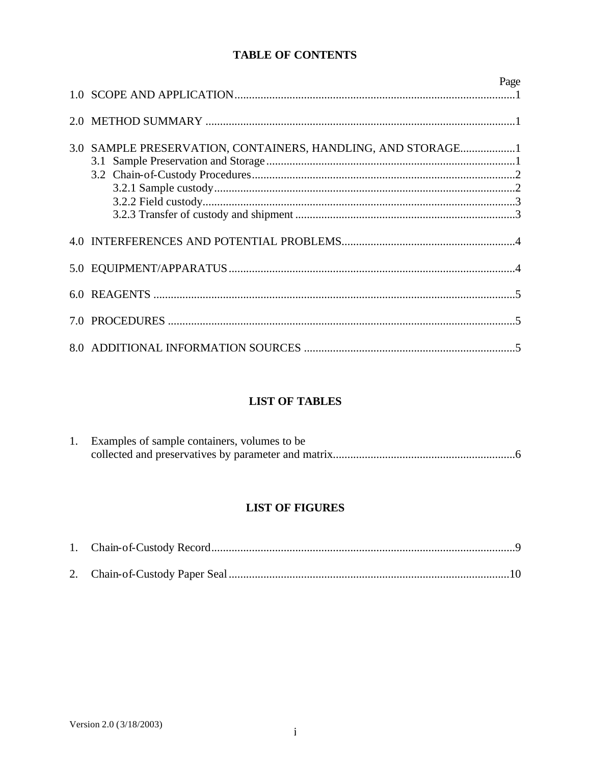## **TABLE OF CONTENTS**

|                                                             | Page |
|-------------------------------------------------------------|------|
|                                                             |      |
| 3.0 SAMPLE PRESERVATION, CONTAINERS, HANDLING, AND STORAGE1 |      |
|                                                             |      |
|                                                             |      |
|                                                             |      |
|                                                             |      |
|                                                             |      |

## **LIST OF TABLES**

| Examples of sample containers, volumes to be |
|----------------------------------------------|
|                                              |

## **LIST OF FIGURES**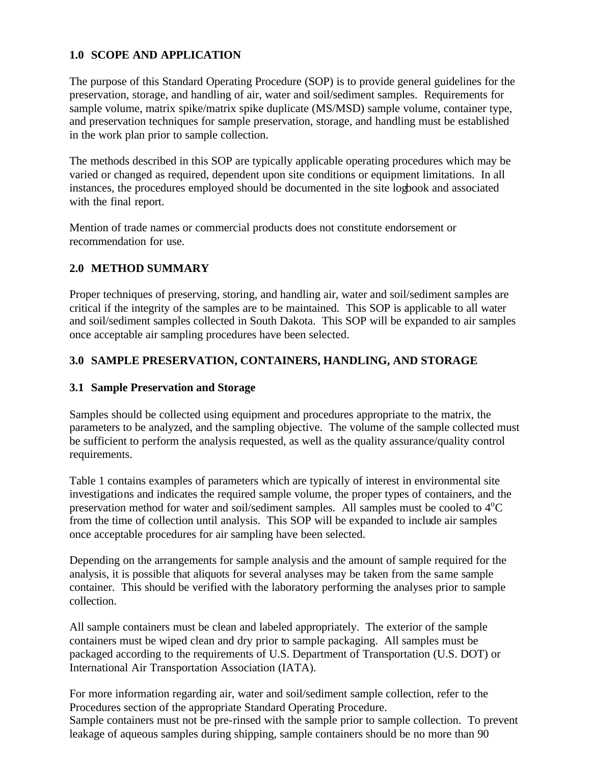### **1.0 SCOPE AND APPLICATION**

The purpose of this Standard Operating Procedure (SOP) is to provide general guidelines for the preservation, storage, and handling of air, water and soil/sediment samples. Requirements for sample volume, matrix spike/matrix spike duplicate (MS/MSD) sample volume, container type, and preservation techniques for sample preservation, storage, and handling must be established in the work plan prior to sample collection.

The methods described in this SOP are typically applicable operating procedures which may be varied or changed as required, dependent upon site conditions or equipment limitations. In all instances, the procedures employed should be documented in the site logbook and associated with the final report.

Mention of trade names or commercial products does not constitute endorsement or recommendation for use.

## **2.0 METHOD SUMMARY**

Proper techniques of preserving, storing, and handling air, water and soil/sediment samples are critical if the integrity of the samples are to be maintained. This SOP is applicable to all water and soil/sediment samples collected in South Dakota. This SOP will be expanded to air samples once acceptable air sampling procedures have been selected.

## **3.0 SAMPLE PRESERVATION, CONTAINERS, HANDLING, AND STORAGE**

#### **3.1 Sample Preservation and Storage**

Samples should be collected using equipment and procedures appropriate to the matrix, the parameters to be analyzed, and the sampling objective. The volume of the sample collected must be sufficient to perform the analysis requested, as well as the quality assurance/quality control requirements.

Table 1 contains examples of parameters which are typically of interest in environmental site investigations and indicates the required sample volume, the proper types of containers, and the preservation method for water and soil/sediment samples. All samples must be cooled to  $4^{\circ}C$ from the time of collection until analysis. This SOP will be expanded to include air samples once acceptable procedures for air sampling have been selected.

Depending on the arrangements for sample analysis and the amount of sample required for the analysis, it is possible that aliquots for several analyses may be taken from the same sample container. This should be verified with the laboratory performing the analyses prior to sample collection.

All sample containers must be clean and labeled appropriately. The exterior of the sample containers must be wiped clean and dry prior to sample packaging. All samples must be packaged according to the requirements of U.S. Department of Transportation (U.S. DOT) or International Air Transportation Association (IATA).

For more information regarding air, water and soil/sediment sample collection, refer to the Procedures section of the appropriate Standard Operating Procedure.

Sample containers must not be pre-rinsed with the sample prior to sample collection. To prevent leakage of aqueous samples during shipping, sample containers should be no more than 90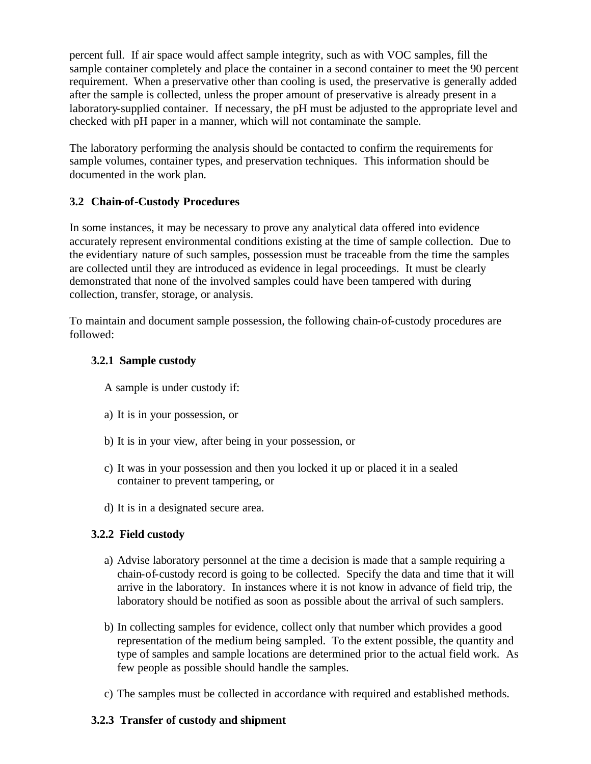percent full. If air space would affect sample integrity, such as with VOC samples, fill the sample container completely and place the container in a second container to meet the 90 percent requirement. When a preservative other than cooling is used, the preservative is generally added after the sample is collected, unless the proper amount of preservative is already present in a laboratory-supplied container. If necessary, the pH must be adjusted to the appropriate level and checked with pH paper in a manner, which will not contaminate the sample.

The laboratory performing the analysis should be contacted to confirm the requirements for sample volumes, container types, and preservation techniques. This information should be documented in the work plan.

## **3.2 Chain-of-Custody Procedures**

In some instances, it may be necessary to prove any analytical data offered into evidence accurately represent environmental conditions existing at the time of sample collection. Due to the evidentiary nature of such samples, possession must be traceable from the time the samples are collected until they are introduced as evidence in legal proceedings. It must be clearly demonstrated that none of the involved samples could have been tampered with during collection, transfer, storage, or analysis.

To maintain and document sample possession, the following chain-of-custody procedures are followed:

## **3.2.1 Sample custody**

A sample is under custody if:

- a) It is in your possession, or
- b) It is in your view, after being in your possession, or
- c) It was in your possession and then you locked it up or placed it in a sealed container to prevent tampering, or
- d) It is in a designated secure area.

## **3.2.2 Field custody**

- a) Advise laboratory personnel at the time a decision is made that a sample requiring a chain-of-custody record is going to be collected. Specify the data and time that it will arrive in the laboratory. In instances where it is not know in advance of field trip, the laboratory should be notified as soon as possible about the arrival of such samplers.
- b) In collecting samples for evidence, collect only that number which provides a good representation of the medium being sampled. To the extent possible, the quantity and type of samples and sample locations are determined prior to the actual field work. As few people as possible should handle the samples.
- c) The samples must be collected in accordance with required and established methods.

## **3.2.3 Transfer of custody and shipment**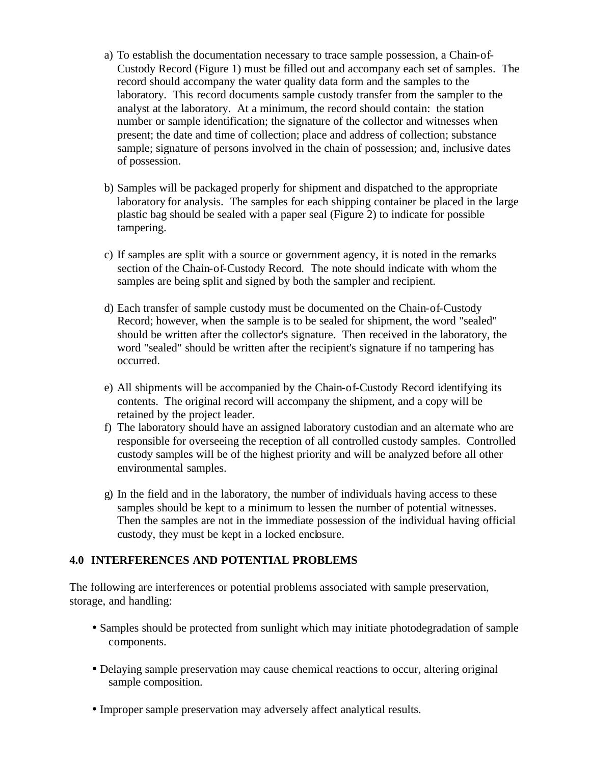- a) To establish the documentation necessary to trace sample possession, a Chain-of-Custody Record (Figure 1) must be filled out and accompany each set of samples. The record should accompany the water quality data form and the samples to the laboratory. This record documents sample custody transfer from the sampler to the analyst at the laboratory. At a minimum, the record should contain: the station number or sample identification; the signature of the collector and witnesses when present; the date and time of collection; place and address of collection; substance sample; signature of persons involved in the chain of possession; and, inclusive dates of possession.
- b) Samples will be packaged properly for shipment and dispatched to the appropriate laboratory for analysis. The samples for each shipping container be placed in the large plastic bag should be sealed with a paper seal (Figure 2) to indicate for possible tampering.
- c) If samples are split with a source or government agency, it is noted in the remarks section of the Chain-of-Custody Record. The note should indicate with whom the samples are being split and signed by both the sampler and recipient.
- d) Each transfer of sample custody must be documented on the Chain-of-Custody Record; however, when the sample is to be sealed for shipment, the word "sealed" should be written after the collector's signature. Then received in the laboratory, the word "sealed" should be written after the recipient's signature if no tampering has occurred.
- e) All shipments will be accompanied by the Chain-of-Custody Record identifying its contents. The original record will accompany the shipment, and a copy will be retained by the project leader.
- f) The laboratory should have an assigned laboratory custodian and an alternate who are responsible for overseeing the reception of all controlled custody samples. Controlled custody samples will be of the highest priority and will be analyzed before all other environmental samples.
- g) In the field and in the laboratory, the number of individuals having access to these samples should be kept to a minimum to lessen the number of potential witnesses. Then the samples are not in the immediate possession of the individual having official custody, they must be kept in a locked enclosure.

#### **4.0 INTERFERENCES AND POTENTIAL PROBLEMS**

The following are interferences or potential problems associated with sample preservation, storage, and handling:

- Samples should be protected from sunlight which may initiate photodegradation of sample components.
- Delaying sample preservation may cause chemical reactions to occur, altering original sample composition.
- Improper sample preservation may adversely affect analytical results.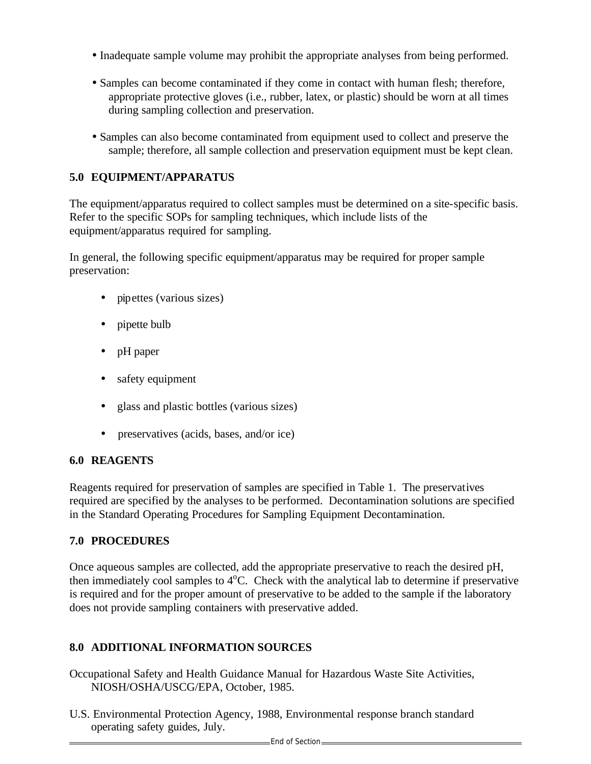- Inadequate sample volume may prohibit the appropriate analyses from being performed.
- Samples can become contaminated if they come in contact with human flesh; therefore, appropriate protective gloves (i.e., rubber, latex, or plastic) should be worn at all times during sampling collection and preservation.
- Samples can also become contaminated from equipment used to collect and preserve the sample; therefore, all sample collection and preservation equipment must be kept clean.

## **5.0 EQUIPMENT/APPARATUS**

The equipment/apparatus required to collect samples must be determined on a site-specific basis. Refer to the specific SOPs for sampling techniques, which include lists of the equipment/apparatus required for sampling.

In general, the following specific equipment/apparatus may be required for proper sample preservation:

- pipettes (various sizes)
- pipette bulb
- pH paper
- safety equipment
- glass and plastic bottles (various sizes)
- preservatives (acids, bases, and/or ice)

#### **6.0 REAGENTS**

Reagents required for preservation of samples are specified in Table 1. The preservatives required are specified by the analyses to be performed. Decontamination solutions are specified in the Standard Operating Procedures for Sampling Equipment Decontamination.

#### **7.0 PROCEDURES**

Once aqueous samples are collected, add the appropriate preservative to reach the desired pH, then immediately cool samples to  $4^{\circ}$ C. Check with the analytical lab to determine if preservative is required and for the proper amount of preservative to be added to the sample if the laboratory does not provide sampling containers with preservative added.

## **8.0 ADDITIONAL INFORMATION SOURCES**

Occupational Safety and Health Guidance Manual for Hazardous Waste Site Activities, NIOSH/OSHA/USCG/EPA, October, 1985.

U.S. Environmental Protection Agency, 1988, Environmental response branch standard operating safety guides, July.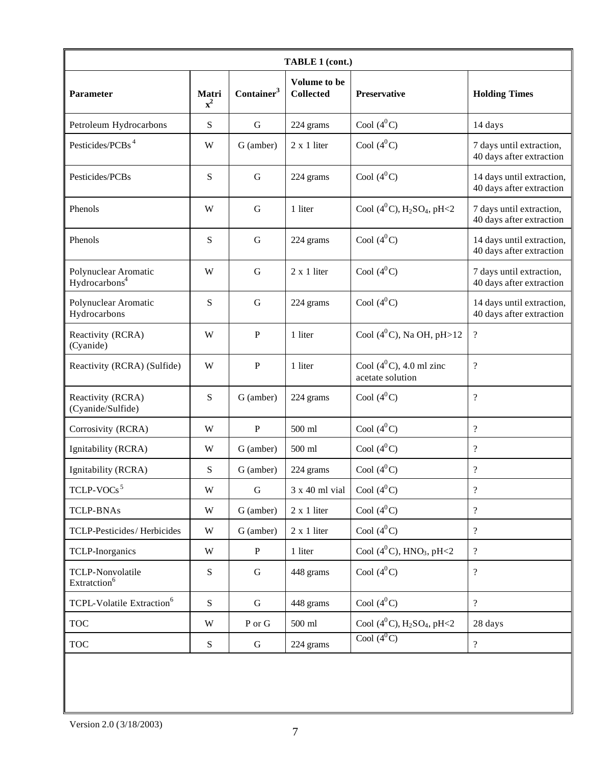| <b>TABLE 1 (cont.)</b>                            |                         |                        |                                  |                                                       |                                                       |  |
|---------------------------------------------------|-------------------------|------------------------|----------------------------------|-------------------------------------------------------|-------------------------------------------------------|--|
| <b>Parameter</b>                                  | Matri<br>$\mathbf{x}^2$ | Container <sup>3</sup> | Volume to be<br><b>Collected</b> | <b>Preservative</b>                                   | <b>Holding Times</b>                                  |  |
| Petroleum Hydrocarbons                            | S                       | $\mathbf G$            | 224 grams                        | Cool $(4^0C)$                                         | 14 days                                               |  |
| Pesticides/PCBs <sup>4</sup>                      | W                       | G (amber)              | $2 \times 1$ liter               | Cool $(4^0C)$                                         | 7 days until extraction,<br>40 days after extraction  |  |
| Pesticides/PCBs                                   | S                       | $\mathbf G$            | 224 grams                        | Cool $(4^0C)$                                         | 14 days until extraction,<br>40 days after extraction |  |
| Phenols                                           | W                       | G                      | 1 liter                          | Cool $(4^0C)$ , H <sub>2</sub> SO <sub>4</sub> , pH<2 | 7 days until extraction,<br>40 days after extraction  |  |
| Phenols                                           | S                       | $\mathbf G$            | 224 grams                        | Cool $(4^0C)$                                         | 14 days until extraction,<br>40 days after extraction |  |
| Polynuclear Aromatic<br>Hydrocarbons <sup>4</sup> | W                       | $\mathbf G$            | $2 \times 1$ liter               | Cool $(4^0C)$                                         | 7 days until extraction,<br>40 days after extraction  |  |
| Polynuclear Aromatic<br>Hydrocarbons              | S                       | G                      | 224 grams                        | Cool $(4^0C)$                                         | 14 days until extraction,<br>40 days after extraction |  |
| Reactivity (RCRA)<br>(Cyanide)                    | W                       | $\, {\bf P}$           | 1 liter                          | Cool $(4^0C)$ , Na OH, pH > 12                        | $\overline{\mathcal{L}}$                              |  |
| Reactivity (RCRA) (Sulfide)                       | W                       | $\, {\bf P}$           | 1 liter                          | Cool $(4^0C)$ , 4.0 ml zinc<br>acetate solution       | $\overline{\mathcal{L}}$                              |  |
| Reactivity (RCRA)<br>(Cyanide/Sulfide)            | S                       | G (amber)              | 224 grams                        | Cool $(4^0C)$                                         | $\overline{\cdot}$                                    |  |
| Corrosivity (RCRA)                                | W                       | $\, {\bf P}$           | 500 ml                           | Cool $(4^0C)$                                         | $\overline{\mathcal{L}}$                              |  |
| Ignitability (RCRA)                               | W                       | G (amber)              | 500 ml                           | Cool $(4^0C)$                                         | $\overline{\mathcal{L}}$                              |  |
| Ignitability (RCRA)                               | S                       | G (amber)              | 224 grams                        | Cool $(4^0C)$                                         | $\overline{\cdot}$                                    |  |
| TCLP-VOCs $5$                                     | W                       | $\mathbf G$            | 3 x 40 ml vial                   | Cool $(4^0C)$                                         | $\overline{\mathcal{L}}$                              |  |
| <b>TCLP-BNAs</b>                                  | $\ensuremath{\text{W}}$ | G (amber)              | $2 \times 1$ liter               | Cool $(4^0C)$                                         | $\overline{\mathcal{L}}$                              |  |
| TCLP-Pesticides/Herbicides                        | W                       | G (amber)              | $2 x 1$ liter                    | Cool $(4^0C)$                                         | $\overline{\mathcal{L}}$                              |  |
| <b>TCLP-Inorganics</b>                            | W                       | $\, {\bf P}$           | 1 liter                          | Cool $(4^0C)$ , HNO <sub>3</sub> , pH<2               | $\overline{\mathcal{L}}$                              |  |
| TCLP-Nonvolatile<br>Extratction <sup>6</sup>      | S                       | G                      | 448 grams                        | Cool $(4^0C)$                                         | $\overline{\mathcal{L}}$                              |  |
| TCPL-Volatile Extraction <sup>6</sup>             | S                       | ${\bf G}$              | 448 grams                        | Cool $(4^0C)$                                         | $\overline{\mathcal{L}}$                              |  |
| <b>TOC</b>                                        | W                       | ${\bf P}$ or ${\bf G}$ | 500 ml                           | Cool $(4^0C)$ , H <sub>2</sub> SO <sub>4</sub> , pH<2 | 28 days                                               |  |
| <b>TOC</b>                                        | S                       | G                      | 224 grams                        | Cool $(4^0C)$                                         | $\overline{\mathcal{L}}$                              |  |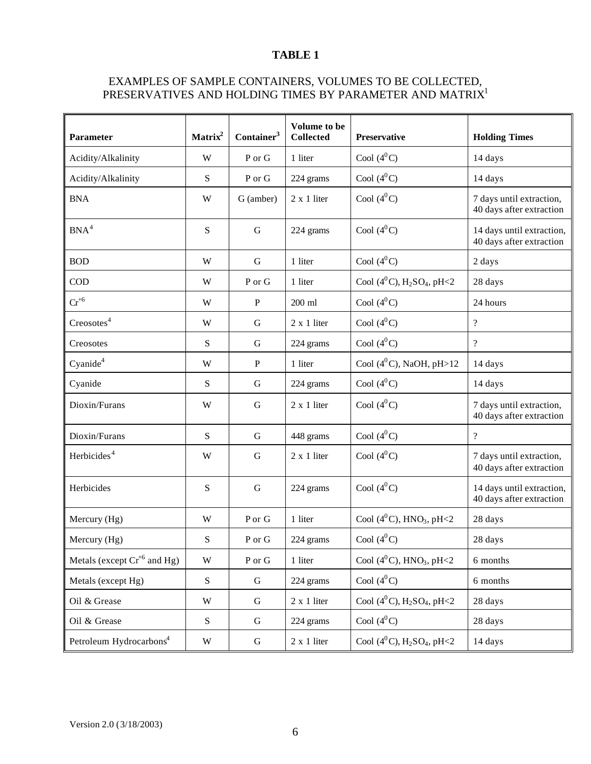#### **TABLE 1**

#### EXAMPLES OF SAMPLE CONTAINERS, VOLUMES TO BE COLLECTED, PRESERVATIVES AND HOLDING TIMES BY PARAMETER AND MATRIX $^{\rm l}$

| Parameter                           | Matrix <sup>2</sup> | Container <sup>3</sup> | Volume to be<br><b>Collected</b> | <b>Preservative</b>                                   | <b>Holding Times</b>                                  |
|-------------------------------------|---------------------|------------------------|----------------------------------|-------------------------------------------------------|-------------------------------------------------------|
| Acidity/Alkalinity                  | W                   | P or G                 | 1 liter                          | Cool $(4^0C)$                                         | 14 days                                               |
| Acidity/Alkalinity                  | S                   | P or G                 | 224 grams                        | Cool $(4^0C)$                                         | 14 days                                               |
| <b>BNA</b>                          | W                   | G (amber)              | $2 \times 1$ liter               | Cool $(4^0C)$                                         | 7 days until extraction,<br>40 days after extraction  |
| BNA <sup>4</sup>                    | S                   | $\mathbf G$            | 224 grams                        | Cool $(4^0C)$                                         | 14 days until extraction,<br>40 days after extraction |
| <b>BOD</b>                          | W                   | G                      | 1 liter                          | Cool $(4^0C)$                                         | 2 days                                                |
| $\rm COD$                           | W                   | P or G                 | 1 liter                          | Cool $(4^0C)$ , H <sub>2</sub> SO <sub>4</sub> , pH<2 | 28 days                                               |
| $Cr^{+6}$                           | W                   | P                      | 200 ml                           | Cool $(4^0C)$                                         | 24 hours                                              |
| Creosotes <sup>4</sup>              | W                   | G                      | $2 \times 1$ liter               | Cool $(4^0C)$                                         | $\overline{?}$                                        |
| Creosotes                           | S                   | G                      | 224 grams                        | Cool $(4^0C)$                                         | $\overline{?}$                                        |
| Cyanide <sup>4</sup>                | W                   | ${\bf P}$              | 1 liter                          | Cool $(4^0C)$ , NaOH, pH>12                           | 14 days                                               |
| Cyanide                             | S                   | G                      | 224 grams                        | Cool $(4^0C)$                                         | 14 days                                               |
| Dioxin/Furans                       | W                   | G                      | $2 \times 1$ liter               | Cool $(4^0C)$                                         | 7 days until extraction,<br>40 days after extraction  |
| Dioxin/Furans                       | S                   | G                      | 448 grams                        | Cool $(4^0C)$                                         | $\overline{?}$                                        |
| Herbicides <sup>4</sup>             | W                   | G                      | $2 \times 1$ liter               | Cool $(4^0C)$                                         | 7 days until extraction,<br>40 days after extraction  |
| Herbicides                          | S                   | $\mathbf G$            | 224 grams                        | Cool $(4^0C)$                                         | 14 days until extraction,<br>40 days after extraction |
| Mercury (Hg)                        | W                   | P or G                 | 1 liter                          | Cool $(4^0C)$ , HNO <sub>3</sub> , pH<2               | 28 days                                               |
| Mercury (Hg)                        | S                   | P or G                 | 224 grams                        | Cool $(4^0C)$                                         | 28 days                                               |
| Metals (except $Cr^{+6}$ and Hg)    | W                   | ${\bf P}$ or ${\bf G}$ | 1 liter                          | Cool $(4^0C)$ , HNO <sub>3</sub> , pH<2               | 6 months                                              |
| Metals (except Hg)                  | ${\bf S}$           | G                      | 224 grams                        | Cool $(4^0C)$                                         | 6 months                                              |
| Oil & Grease                        | W                   | $\mathbf G$            | $2 \times 1$ liter               | Cool $(4^0C)$ , H <sub>2</sub> SO <sub>4</sub> , pH<2 | 28 days                                               |
| Oil & Grease                        | ${\bf S}$           | ${\bf G}$              | 224 grams                        | Cool $(4^0C)$                                         | 28 days                                               |
| Petroleum Hydrocarbons <sup>4</sup> | W                   | G                      | $2 \times 1$ liter               | Cool $(4^0C)$ , $H_2SO_4$ , pH<2                      | 14 days                                               |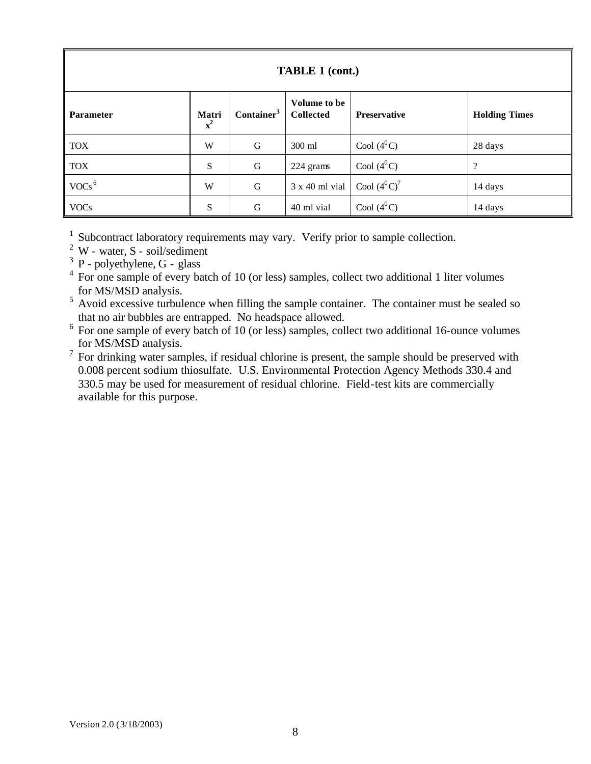| <b>TABLE 1 (cont.)</b> |                         |                        |                                  |                     |                      |  |
|------------------------|-------------------------|------------------------|----------------------------------|---------------------|----------------------|--|
| <b>Parameter</b>       | Matri<br>$\mathbf{x}^2$ | Container <sup>3</sup> | Volume to be<br><b>Collected</b> | <b>Preservative</b> | <b>Holding Times</b> |  |
| <b>TOX</b>             | W                       | $\mathbf G$            | 300 ml                           | Cool $(4^0C)$       | 28 days              |  |
| <b>TOX</b>             | S                       | G                      | 224 grams                        | Cool $(4^0C)$       | $\overline{\cdot}$   |  |
| $VOCs$ <sup>6</sup>    | W                       | G                      | 3 x 40 ml vial                   | Cool $(4^0C)^7$     | 14 days              |  |
| <b>VOCs</b>            | S                       | G                      | 40 ml vial                       | Cool $(4^0C)$       | 14 days              |  |

<sup>1</sup> Subcontract laboratory requirements may vary. Verify prior to sample collection.

 $2$  W - water, S - soil/sediment

 $3$  P - polyethylene, G - glass

<sup>4</sup> For one sample of every batch of 10 (or less) samples, collect two additional 1 liter volumes for MS/MSD analysis.

 $5$  Avoid excessive turbulence when filling the sample container. The container must be sealed so

that no air bubbles are entrapped. No headspace allowed. 6 For one sample of every batch of 10 (or less) samples, collect two additional 16-ounce volumes for MS/MSD analysis.

 $7$  For drinking water samples, if residual chlorine is present, the sample should be preserved with 0.008 percent sodium thiosulfate. U.S. Environmental Protection Agency Methods 330.4 and 330.5 may be used for measurement of residual chlorine. Field-test kits are commercially available for this purpose.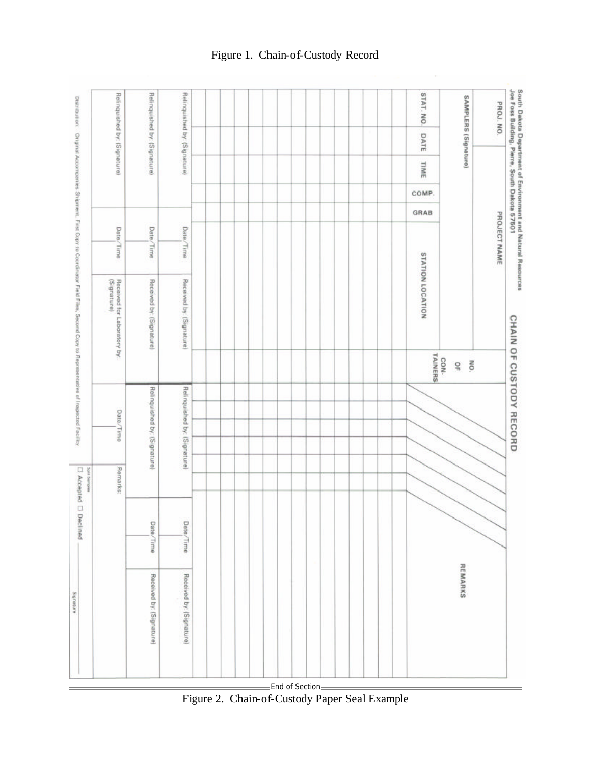

Figure 2. Chain-of-Custody Paper Seal Example

## Figure 1. Chain-of-Custody Record